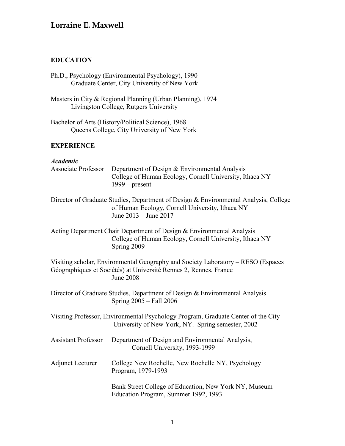### **EDUCATION**

- Ph.D., Psychology (Environmental Psychology), 1990 Graduate Center, City University of New York
- Masters in City & Regional Planning (Urban Planning), 1974 Livingston College, Rutgers University

Bachelor of Arts (History/Political Science), 1968 Queens College, City University of New York

### **EXPERIENCE**

### *Academic*

| Associate Professor        | Department of Design & Environmental Analysis<br>College of Human Ecology, Cornell University, Ithaca NY<br>$1999$ – present                                              |
|----------------------------|---------------------------------------------------------------------------------------------------------------------------------------------------------------------------|
|                            | Director of Graduate Studies, Department of Design & Environmental Analysis, College<br>of Human Ecology, Cornell University, Ithaca NY<br>June 2013 – June 2017          |
|                            | Acting Department Chair Department of Design & Environmental Analysis<br>College of Human Ecology, Cornell University, Ithaca NY<br>Spring 2009                           |
|                            | Visiting scholar, Environmental Geography and Society Laboratory – RESO (Espaces<br>Géographiques et Sociétés) at Université Rennes 2, Rennes, France<br><b>June 2008</b> |
|                            | Director of Graduate Studies, Department of Design & Environmental Analysis<br>Spring 2005 – Fall 2006                                                                    |
|                            | Visiting Professor, Environmental Psychology Program, Graduate Center of the City<br>University of New York, NY. Spring semester, 2002                                    |
| <b>Assistant Professor</b> | Department of Design and Environmental Analysis,<br>Cornell University, 1993-1999                                                                                         |
| <b>Adjunct Lecturer</b>    | College New Rochelle, New Rochelle NY, Psychology<br>Program, 1979-1993                                                                                                   |
|                            | Bank Street College of Education, New York NY, Museum<br>Education Program, Summer 1992, 1993                                                                             |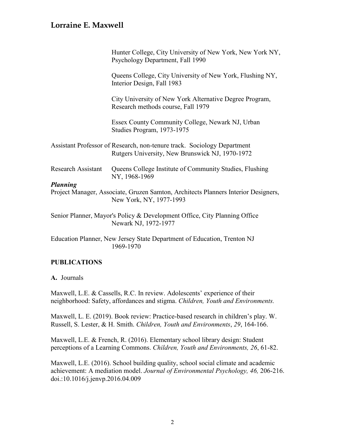|                           | Hunter College, City University of New York, New York NY,<br>Psychology Department, Fall 1990                              |
|---------------------------|----------------------------------------------------------------------------------------------------------------------------|
|                           | Queens College, City University of New York, Flushing NY,<br>Interior Design, Fall 1983                                    |
|                           | City University of New York Alternative Degree Program,<br>Research methods course, Fall 1979                              |
|                           | Essex County Community College, Newark NJ, Urban<br>Studies Program, 1973-1975                                             |
|                           | Assistant Professor of Research, non-tenure track. Sociology Department<br>Rutgers University, New Brunswick NJ, 1970-1972 |
| <b>Research Assistant</b> | Queens College Institute of Community Studies, Flushing<br>NY, 1968-1969                                                   |
| <b>Planning</b>           | Project Manager, Associate, Gruzen Samton, Architects Planners Interior Designers,<br>New York, NY, 1977-1993              |
|                           | Senior Planner, Mayor's Policy & Development Office, City Planning Office<br>Newark NJ, 1972-1977                          |
|                           | Education Planner, New Jersey State Department of Education, Trenton NJ<br>1969-1970                                       |
|                           |                                                                                                                            |

### **PUBLICATIONS**

#### **A.** Journals

Maxwell, L.E. & Cassells, R.C. In review. Adolescents' experience of their neighborhood: Safety, affordances and stigma. *Children, Youth and Environments.*

Maxwell, L. E. (2019). Book review: Practice-based research in children's play. W. Russell, S. Lester, & H. Smith. *Children, Youth and Environments*, *29*, 164-166.

Maxwell, L.E. & French, R. (2016). Elementary school library design: Student perceptions of a Learning Commons. *Children, Youth and Environments, 26*, 61-82.

Maxwell, L.E. (2016). School building quality, school social climate and academic achievement: A mediation model. *Journal of Environmental Psychology, 46,* 206-216. doi.:10.1016/j.jenvp.2016.04.009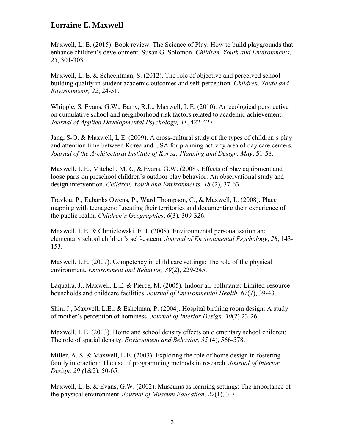Maxwell, L. E. (2015). Book review: The Science of Play: How to build playgrounds that enhance children's development. Susan G. Solomon. *Children, Youth and Environments, 25*, 301-303.

Maxwell, L. E. & Schechtman, S. (2012). The role of objective and perceived school building quality in student academic outcomes and self-perception. *Children, Youth and Environments, 22*, 24-51.

Whipple, S. Evans, G.W., Barry, R.L., Maxwell, L.E. (2010). An ecological perspective on cumulative school and neighborhood risk factors related to academic achievement. *Journal of Applied Developmental Psychology, 31*, 422-427.

Jang, S-O. & Maxwell, L.E. (2009). A cross-cultural study of the types of children's play and attention time between Korea and USA for planning activity area of day care centers. *Journal of the Architectural Institute of Korea: Planning and Design, May*, 51-58.

Maxwell, L.E., Mitchell, M.R., & Evans, G.W. (2008). Effects of play equipment and loose parts on preschool children's outdoor play behavior: An observational study and design intervention. *Children, Youth and Environments, 18* (2), 37-63.

Travlou, P., Eubanks Owens, P., Ward Thompson, C., & Maxwell, L. (2008). Place mapping with teenagers: Locating their territories and documenting their experience of the public realm. *Children's Geographies*, *6*(3), 309-326.

Maxwell, L.E. & Chmielewski, E. J. (2008). Environmental personalization and elementary school children's self-esteem. *Journal of Environmental Psychology*, *28*, 143- 153.

Maxwell, L.E. (2007). Competency in child care settings: The role of the physical environment. *Environment and Behavior, 39*(2), 229-245.

Laquatra, J., Maxwell. L.E. & Pierce, M. (2005). Indoor air pollutants: Limited-resource households and childcare facilities. *Journal of Environmental Health, 67*(7), 39-43.

Shin, J., Maxwell, L.E., & Eshelman, P. (2004). Hospital birthing room design: A study of mother's perception of hominess. *Journal of Interior Design, 30*(2) 23-26.

Maxwell, L.E. (2003). Home and school density effects on elementary school children: The role of spatial density. *Environment and Behavior, 35* (4), 566-578.

Miller, A. S. & Maxwell, L.E. (2003). Exploring the role of home design in fostering family interaction: The use of programming methods in research. *Journal of Interior Design, 29 (*1&2), 50-65.

Maxwell, L. E. & Evans, G.W. (2002). Museums as learning settings: The importance of the physical environment. *Journal of Museum Education, 27*(1), 3-7.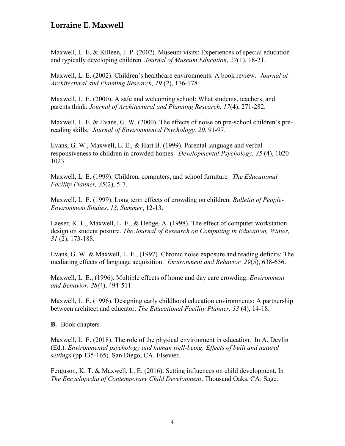Maxwell, L. E. & Killeen, J. P. (2002). Museum visits: Experiences of special education and typically developing children. *Journal of Museum Education, 27*(1), 18-21.

Maxwell, L. E. (2002). Children's healthcare environments: A book review. *Journal of Architectural and Planning Research, 19* (2), 176-178.

Maxwell, L. E. (2000). A safe and welcoming school: What students, teachers, and parents think. *Journal of Architectural and Planning Research, 17*(4), 271-282.

Maxwell, L. E. & Evans, G. W. (2000). The effects of noise on pre-school children's prereading skills. *Journal of Environmental Psychology, 20*, 91-97.

Evans, G. W., Maxwell, L. E., & Hart B. (1999). Parental language and verbal responsiveness to children in crowded homes. *Developmental Psychology, 35* (4), 1020- 1023.

Maxwell, L. E. (1999). Children, computers, and school furniture*. The Educational Facility Planner, 35*(2), 5-7.

Maxwell, L. E. (1999). Long term effects of crowding on children. *Bulletin of People-Environment Studies, 13, Summer*, 12-13.

Laeser, K. L., Maxwell, L. E., & Hedge, A. (1998). The effect of computer workstation design on student posture. *The Journal of Research on Computing in Education, Winter, 31* (2), 173-188.

Evans, G. W. & Maxwell, L. E., (1997). Chronic noise exposure and reading deficits: The mediating effects of language acquisition. *Environment and Behavior, 29*(5), 638-656.

Maxwell, L. E., (1996). Multiple effects of home and day care crowding. *Environment and Behavior, 28(*4), 494-511.

Maxwell, L. E. (1996). Designing early childhood education environments: A partnership between architect and educator. *The Educational Facility Planner, 33* (4), 14-18.

**B.** Book chapters

Maxwell, L. E. (2018). The role of the physical environment in education. In A. Devlin (Ed.). *Environmental psychology and human well-being: Effects of built and natural settings* (pp.135-165). San Diego, CA. Elsevier.

Ferguson, K. T. & Maxwell, L. E. (2016). Setting influences on child development. In *The Encyclopedia of Contemporary Child Development*. Thousand Oaks, CA: Sage.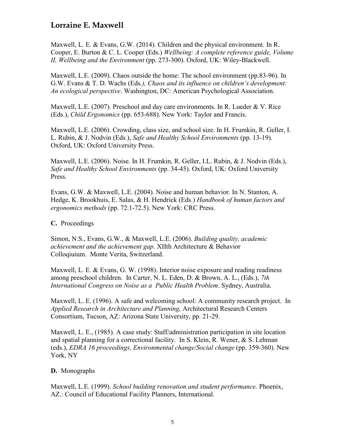Maxwell, L. E. & Evans, G.W. (2014). Children and the physical environment. In R. Cooper, E. Burton & C. L. Cooper (Eds.) *Wellbeing: A complete reference guide, Volume II, Wellbeing and the Environment* (pp. 273-300). Oxford, UK: Wiley-Blackwell.

Maxwell, L.E. (2009). Chaos outside the home: The school environment (pp.83-96). In G.W. Evans & T. D. Wachs (Eds*.), Chaos and its influence on children's development: An ecological perspective*. Washington, DC: American Psychological Association.

Maxwell, L.E. (2007). Preschool and day care environments. In R. Lueder & V. Rice (Eds.), *Child Ergonomics* (pp. 653-688). New York: Taylor and Francis.

Maxwell, L.E. (2006). Crowding, class size, and school size. In H. Frumkin, R. Geller, I. L. Rubin, & J. Nodvin (Eds.), *Safe and Healthy School Environments* (pp. 13-19). Oxford, UK: Oxford University Press.

Maxwell, L.E. (2006). Noise. In H. Frumkin, R. Geller, I.L. Rubin, & J. Nodvin (Eds.), *Safe and Healthy School Environments* (pp. 34-45). Oxford, UK: Oxford University Press.

Evans, G.W. & Maxwell, L.E. (2004). Noise and human behavior. In N. Stanton, A. Hedge, K. Brookhuis, E. Salas, & H. Hendrick (Eds.) *Handbook of human factors and ergonomics methods* (pp. 72.1-72.5). New York: CRC Press.

**C.** Proceedings

Simon, N.S., Evans, G.W., & Maxwell, L.E. (2006). *Building quality, academic achievement and the achievement gap*. XIIth Architecture & Behavior Colloqiuium. Monte Verita, Switzerland.

Maxwell, L. E. & Evans, G. W. (1998). Interior noise exposure and reading readiness among preschool children. In Carter, N. L. Eden, D. & Brown, A. L., (Eds.), *7th International Congress on Noise as a Public Health Problem*. Sydney, Australia.

Maxwell, L. E. (1996). A safe and welcoming school: A community research project. In *Applied Research in Architecture and Planning,* Architectural Research Centers Consortium, Tucson, AZ: Arizona State University, pp. 21-29.

Maxwell, L. E., (1985). A case study: Staff/administration participation in site location and spatial planning for a correctional facility. In S. Klein, R. Wener, & S. Lehman (eds.), *EDRA 16 proceedings, Environmental change/Social change* (pp. 359-360). New York, NY

### **D.** Monographs

Maxwell, L.E. (1999). *School building renovation and student performance.* Phoenix, AZ.: Council of Educational Facility Planners, International.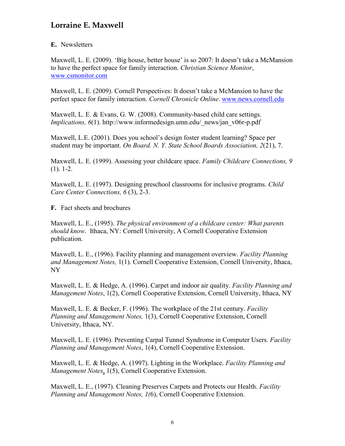#### **E.** Newsletters

Maxwell, L. E. (2009). 'Big house, better house' is so 2007: It doesn't take a McMansion to have the perfect space for family interaction. *Christian Science Monitor*, [www.csmonitor.com](http://www.csmonitor.com/)

Maxwell, L. E. (2009). Cornell Perspectives: It doesn't take a McMansion to have the perfect space for family interaction. *Cornell Chronicle Online*. [www.news.cornell.edu](http://www.news.cornell.edu/)

Maxwell, L. E. & Evans, G. W. (2008). Community-based child care settings. *Implications, 6*(1). http://www.informedesign.umn.edu/\_news/jan\_v06r-p.pdf

Maxwell, L.E. (2001). Does you school's design foster student learning? Space per student may be important. *On Board. N. Y. State School Boards Association, 2*(21), 7.

Maxwell, L. E. (1999). Assessing your childcare space. *Family Childcare Connections, 9* (1). 1-2.

Maxwell, L. E. (1997). Designing preschool classrooms for inclusive programs. *Child Care Center Connections, 6* (3), 2-3.

**F.** Fact sheets and brochures

Maxwell, L. E., (1995). *The physical environment of a childcare center: What parents should know*. Ithaca, NY: Cornell University, A Cornell Cooperative Extension publication.

Maxwell, L. E., (1996). Facility planning and management overview. *Facility Planning and Management Notes,* 1(1). Cornell Cooperative Extension, Cornell University, Ithaca, NY

Maxwell, L. E. & Hedge, A. (1996). Carpet and indoor air quality. *Facility Planning and Management Notes*, 1(2), Cornell Cooperative Extension, Cornell University, Ithaca, NY

Maxwell, L. E. & Becker, F. (1996). The workplace of the 21st century. *Facility Planning and Management Notes,* 1(3), Cornell Cooperative Extension, Cornell University, Ithaca, NY.

Maxwell, L. E. (1996). Preventing Carpal Tunnel Syndrome in Computer Users. *Facility Planning and Management Notes*, 1(4), Cornell Cooperative Extension.

Maxwell, L. E. & Hedge, A. (1997). Lighting in the Workplace. *Facility Planning and Management Notes*, 1(5), Cornell Cooperative Extension.

Maxwell, L. E., (1997). Cleaning Preserves Carpets and Protects our Health. *Facility Planning and Management Notes, 1(*6), Cornell Cooperative Extension.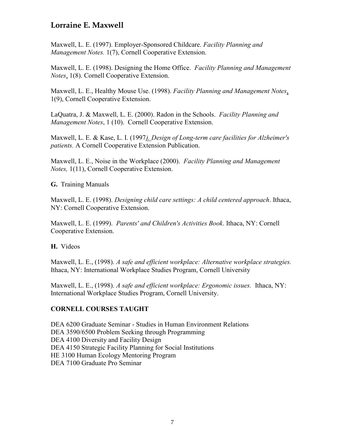Maxwell, L. E. (1997). Employer-Sponsored Childcare. *Facility Planning and Management Notes.* 1(7), Cornell Cooperative Extension.

Maxwell, L. E. (1998). Designing the Home Office. *Facility Planning and Management Notes*, 1(8). Cornell Cooperative Extension.

Maxwell, L. E., Healthy Mouse Use. (1998). *Facility Planning and Management Notes*, 1(9), Cornell Cooperative Extension.

LaQuatra, J. & Maxwell, L. E. (2000). Radon in the Schools. *Facility Planning and Management Notes*, 1 (10). Cornell Cooperative Extension.

Maxwell, L. E. & Kase, L. I. (1997*). Design of Long-term care facilities for Alzheimer's patients.* A Cornell Cooperative Extension Publication.

Maxwell, L. E., Noise in the Workplace (2000). *Facility Planning and Management Notes,* 1(11), Cornell Cooperative Extension.

**G.** Training Manuals

Maxwell, L. E. (1998). *Designing child care settings: A child centered approach*. Ithaca, NY: Cornell Cooperative Extension.

Maxwell, L. E. (1999). *Parents' and Children's Activities Book*. Ithaca, NY: Cornell Cooperative Extension.

**H.** Videos

Maxwell, L. E., (1998). *A safe and efficient workplace: Alternative workplace strategies.* Ithaca, NY: International Workplace Studies Program, Cornell University

Maxwell, L. E., (1998). *A safe and efficient workplace: Ergonomic issues.* Ithaca, NY: International Workplace Studies Program, Cornell University.

### **CORNELL COURSES TAUGHT**

DEA 6200 Graduate Seminar - Studies in Human Environment Relations DEA 3590/6500 Problem Seeking through Programming DEA 4100 Diversity and Facility Design DEA 4150 Strategic Facility Planning for Social Institutions HE 3100 Human Ecology Mentoring Program DEA 7100 Graduate Pro Seminar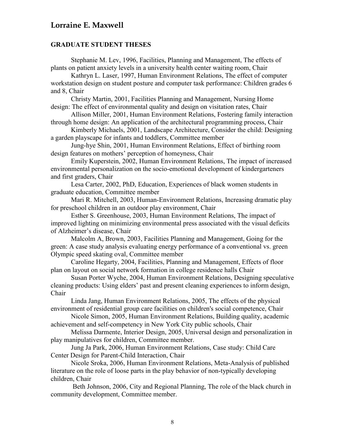#### **GRADUATE STUDENT THESES**

Stephanie M. Lev, 1996, Facilities, Planning and Management, The effects of plants on patient anxiety levels in a university health center waiting room, Chair

Kathryn L. Laser, 1997, Human Environment Relations, The effect of computer workstation design on student posture and computer task performance: Children grades 6 and 8, Chair

Christy Martin, 2001, Facilities Planning and Management, Nursing Home design: The effect of environmental quality and design on visitation rates, Chair

Allison Miller, 2001, Human Environment Relations, Fostering family interaction through home design: An application of the architectural programming process, Chair

Kimberly Michaels, 2001, Landscape Architecture, Consider the child: Designing a garden playscape for infants and toddlers, Committee member

Jung-hye Shin, 2001, Human Environment Relations, Effect of birthing room design features on mothers' perception of homeyness, Chair

Emily Kuperstein, 2002, Human Environment Relations, The impact of increased environmental personalization on the socio-emotional development of kindergarteners and first graders, Chair

Lesa Carter, 2002, PhD, Education, Experiences of black women students in graduate education, Committee member

Mari R. Mitchell, 2003, Human-Environment Relations, Increasing dramatic play for preschool children in an outdoor play environment, Chair

Esther S. Greenhouse, 2003, Human Environment Relations, The impact of improved lighting on minimizing environmental press associated with the visual deficits of Alzheimer's disease, Chair

Malcolm A, Brown, 2003, Facilities Planning and Management, Going for the green: A case study analysis evaluating energy performance of a conventional vs. green Olympic speed skating oval, Committee member

Caroline Hegarty, 2004, Facilities, Planning and Management, Effects of floor plan on layout on social network formation in college residence halls Chair

Susan Porter Wyche, 2004, Human Environment Relations, Designing speculative cleaning products: Using elders' past and present cleaning experiences to inform design, Chair

Linda Jang, Human Environment Relations, 2005, The effects of the physical environment of residential group care facilities on children's social competence, Chair

Nicole Simon, 2005, Human Environment Relations, Building quality, academic achievement and self-competency in New York City public schools, Chair

 Melissa Darmente, Interior Design, 2005, Universal design and personalization in play manipulatives for children, Committee member.

Jung Ja Park, 2006, Human Environment Relations, Case study: Child Care Center Design for Parent-Child Interaction, Chair

Nicole Sroka, 2006, Human Environment Relations, Meta-Analysis of published literature on the role of loose parts in the play behavior of non-typically developing children, Chair

 Beth Johnson, 2006, City and Regional Planning, The role of the black church in community development, Committee member.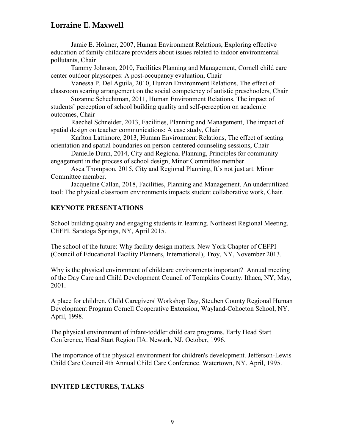Jamie E. Holmer, 2007, Human Environment Relations, Exploring effective education of family childcare providers about issues related to indoor environmental pollutants, Chair

Tammy Johnson, 2010, Facilities Planning and Management, Cornell child care center outdoor playscapes: A post-occupancy evaluation, Chair

Vanessa P. Del Aguila, 2010, Human Environment Relations, The effect of classroom searing arrangement on the social competency of autistic preschoolers, Chair

Suzanne Schechtman, 2011, Human Environment Relations, The impact of students' perception of school building quality and self-perception on academic outcomes, Chair

Raechel Schneider, 2013, Facilities, Planning and Management, The impact of spatial design on teacher communications: A case study, Chair

Karlton Lattimore, 2013, Human Environment Relations, The effect of seating orientation and spatial boundaries on person-centered counseling sessions, Chair

Danielle Dunn, 2014, City and Regional Planning, Principles for community engagement in the process of school design, Minor Committee member

Asea Thompson, 2015, City and Regional Planning, It's not just art. Minor Committee member.

Jacqueline Callan, 2018, Facilities, Planning and Management. An underutilized tool: The physical classroom environments impacts student collaborative work, Chair.

### **KEYNOTE PRESENTATIONS**

School building quality and engaging students in learning. Northeast Regional Meeting, CEFPI. Saratoga Springs, NY, April 2015.

The school of the future: Why facility design matters. New York Chapter of CEFPI (Council of Educational Facility Planners, International), Troy, NY, November 2013.

Why is the physical environment of childcare environments important? Annual meeting of the Day Care and Child Development Council of Tompkins County. Ithaca, NY, May, 2001.

A place for children. Child Caregivers' Workshop Day, Steuben County Regional Human Development Program Cornell Cooperative Extension, Wayland-Cohocton School, NY. April, 1998.

The physical environment of infant-toddler child care programs. Early Head Start Conference, Head Start Region IIA. Newark, NJ. October, 1996.

The importance of the physical environment for children's development. Jefferson-Lewis Child Care Council 4th Annual Child Care Conference. Watertown, NY. April, 1995.

### **INVITED LECTURES, TALKS**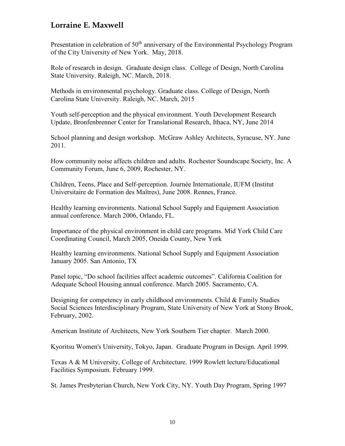Presentation in celebration of 50<sup>th</sup> anniversary of the Environmental Psychology Program of the City University of New York. May, 2018.

Role of research in design. Graduate design class. College of Design, North Carolina State University. Raleigh, NC. March, 2018.

Methods in environmental psychology. Graduate class. College of Design, North Carolina State University. Raleigh, NC. March, 2015

Youth self-perception and the physical environment. Youth Development Research Update, Bronfenbrenner Center for Translational Research, Ithaca, NY, June 2014

School planning and design workshop. McGraw Ashley Architects, Syracuse, NY. June 2011.

How community noise affects children and adults. Rochester Soundscape Society, Inc. A Community Forum, June 6, 2009, Rochester, NY.

Children, Teens, Place and Self-perception. Journée Internationale, IUFM (Institut Universitaire de Formation des Maîtres), June 2008. Rennes, France.

Healthy learning environments. National School Supply and Equipment Association annual conference. March 2006, Orlando, FL.

Importance of the physical environment in child care programs. Mid York Child Care Coordinating Council, March 2005, Oneida County, New York

Healthy learning environments. National School Supply and Equipment Association January 2005. San Antonio, TX

Panel topic, "Do school facilities affect academic outcomes". California Coalition for Adequate School Housing annual conference. March 2005. Sacramento, CA.

Designing for competency in early childhood environments. Child & Family Studies Social Sciences Interdisciplinary Program, State University of New York at Stony Brook, February, 2002.

American Institute of Architects, New York Southern Tier chapter. March 2000.

Kyoritsu Women's University, Tokyo, Japan. Graduate Program in Design. April 1999.

Texas A & M University, College of Architecture. 1999 Rowlett lecture/Educational Facilities Symposium. February 1999.

St. James Presbyterian Church, New York City, NY. Youth Day Program, Spring 1997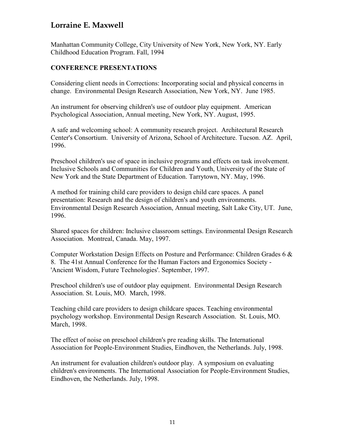Manhattan Community College, City University of New York, New York, NY. Early Childhood Education Program. Fall, 1994

#### **CONFERENCE PRESENTATIONS**

Considering client needs in Corrections: Incorporating social and physical concerns in change. Environmental Design Research Association, New York, NY. June 1985.

An instrument for observing children's use of outdoor play equipment. American Psychological Association, Annual meeting, New York, NY. August, 1995.

A safe and welcoming school: A community research project. Architectural Research Center's Consortium. University of Arizona, School of Architecture. Tucson. AZ. April, 1996.

Preschool children's use of space in inclusive programs and effects on task involvement. Inclusive Schools and Communities for Children and Youth, University of the State of New York and the State Department of Education. Tarrytown, NY. May, 1996.

A method for training child care providers to design child care spaces. A panel presentation: Research and the design of children's and youth environments. Environmental Design Research Association, Annual meeting, Salt Lake City, UT. June, 1996.

Shared spaces for children: Inclusive classroom settings. Environmental Design Research Association. Montreal, Canada. May, 1997.

Computer Workstation Design Effects on Posture and Performance: Children Grades 6 & 8. The 41st Annual Conference for the Human Factors and Ergonomics Society - 'Ancient Wisdom, Future Technologies'. September, 1997.

Preschool children's use of outdoor play equipment. Environmental Design Research Association. St. Louis, MO. March, 1998.

Teaching child care providers to design childcare spaces. Teaching environmental psychology workshop. Environmental Design Research Association. St. Louis, MO. March, 1998.

The effect of noise on preschool children's pre reading skills. The International Association for People-Environment Studies, Eindhoven, the Netherlands. July, 1998.

An instrument for evaluation children's outdoor play. A symposium on evaluating children's environments. The International Association for People-Environment Studies, Eindhoven, the Netherlands. July, 1998.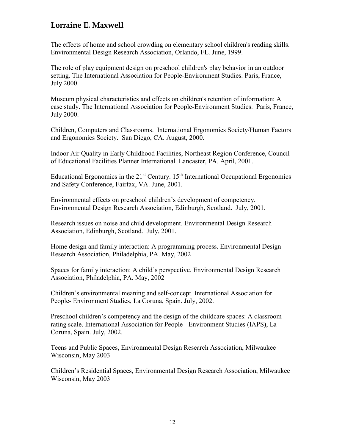The effects of home and school crowding on elementary school children's reading skills. Environmental Design Research Association, Orlando, FL. June, 1999.

The role of play equipment design on preschool children's play behavior in an outdoor setting. The International Association for People-Environment Studies. Paris, France, July 2000.

Museum physical characteristics and effects on children's retention of information: A case study. The International Association for People-Environment Studies. Paris, France, July 2000.

Children, Computers and Classrooms. International Ergonomics Society/Human Factors and Ergonomics Society. San Diego, CA. August, 2000.

Indoor Air Quality in Early Childhood Facilities, Northeast Region Conference, Council of Educational Facilities Planner International. Lancaster, PA. April, 2001.

Educational Ergonomics in the  $21<sup>st</sup>$  Century.  $15<sup>th</sup>$  International Occupational Ergonomics and Safety Conference, Fairfax, VA. June, 2001.

Environmental effects on preschool children's development of competency. Environmental Design Research Association, Edinburgh, Scotland. July, 2001.

Research issues on noise and child development. Environmental Design Research Association, Edinburgh, Scotland. July, 2001.

Home design and family interaction: A programming process. Environmental Design Research Association, Philadelphia, PA. May, 2002

Spaces for family interaction: A child's perspective. Environmental Design Research Association, Philadelphia, PA. May, 2002

Children's environmental meaning and self-concept. International Association for People- Environment Studies, La Coruna, Spain. July, 2002.

Preschool children's competency and the design of the childcare spaces: A classroom rating scale. International Association for People - Environment Studies (IAPS), La Coruna, Spain. July, 2002.

Teens and Public Spaces, Environmental Design Research Association, Milwaukee Wisconsin, May 2003

Children's Residential Spaces, Environmental Design Research Association, Milwaukee Wisconsin, May 2003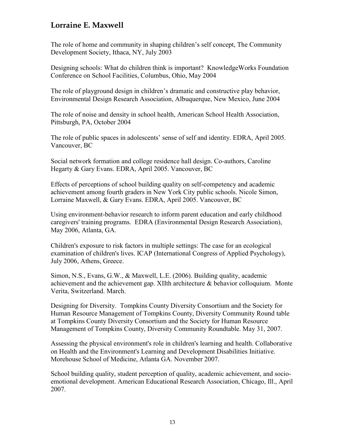The role of home and community in shaping children's self concept, The Community Development Society, Ithaca, NY, July 2003

Designing schools: What do children think is important? KnowledgeWorks Foundation Conference on School Facilities, Columbus, Ohio, May 2004

The role of playground design in children's dramatic and constructive play behavior, Environmental Design Research Association, Albuquerque, New Mexico, June 2004

The role of noise and density in school health, American School Health Association, Pittsburgh, PA, October 2004

The role of public spaces in adolescents' sense of self and identity. EDRA, April 2005. Vancouver, BC

Social network formation and college residence hall design. Co-authors, Caroline Hegarty & Gary Evans. EDRA, April 2005. Vancouver, BC

Effects of perceptions of school building quality on self-competency and academic achievement among fourth graders in New York City public schools. Nicole Simon, Lorraine Maxwell, & Gary Evans. EDRA, April 2005. Vancouver, BC

Using environment-behavior research to inform parent education and early childhood caregivers' training programs. EDRA (Environmental Design Research Association), May 2006, Atlanta, GA.

Children's exposure to risk factors in multiple settings: The case for an ecological examination of children's lives. ICAP (International Congress of Applied Psychology), July 2006, Athens, Greece.

Simon, N.S., Evans, G.W., & Maxwell, L.E. (2006). Building quality, academic achievement and the achievement gap. XIIth architecture & behavior colloquium. Monte Verita, Switzerland. March.

Designing for Diversity. Tompkins County Diversity Consortium and the Society for Human Resource Management of Tompkins County, Diversity Community Round table at Tompkins County Diversity Consortium and the Society for Human Resource Management of Tompkins County, Diversity Community Roundtable. May 31, 2007.

Assessing the physical environment's role in children's learning and health. Collaborative on Health and the Environment's Learning and Development Disabilities Initiative. Morehouse School of Medicine, Atlanta GA. November 2007.

School building quality, student perception of quality, academic achievement, and socioemotional development. American Educational Research Association, Chicago, Ill., April 2007.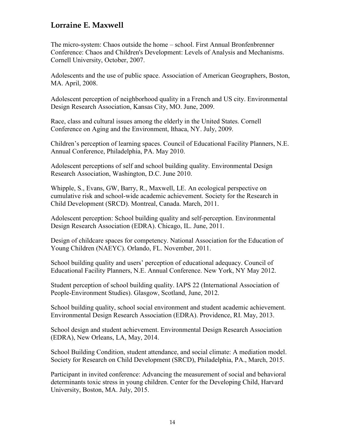The micro-system: Chaos outside the home – school. First Annual Bronfenbrenner Conference: Chaos and Children's Development: Levels of Analysis and Mechanisms. Cornell University, October, 2007.

Adolescents and the use of public space. Association of American Geographers, Boston, MA. April, 2008.

Adolescent perception of neighborhood quality in a French and US city. Environmental Design Research Association, Kansas City, MO. June, 2009.

Race, class and cultural issues among the elderly in the United States. Cornell Conference on Aging and the Environment, Ithaca, NY. July, 2009.

Children's perception of learning spaces. Council of Educational Facility Planners, N.E. Annual Conference, Philadelphia, PA. May 2010.

Adolescent perceptions of self and school building quality. Environmental Design Research Association, Washington, D.C. June 2010.

Whipple, S., Evans, GW, Barry, R., Maxwell, LE. An ecological perspective on cumulative risk and school-wide academic achievement. Society for the Research in Child Development (SRCD). Montreal, Canada. March, 2011.

Adolescent perception: School building quality and self-perception. Environmental Design Research Association (EDRA). Chicago, IL. June, 2011.

Design of childcare spaces for competency. National Association for the Education of Young Children (NAEYC). Orlando, FL. November, 2011.

School building quality and users' perception of educational adequacy. Council of Educational Facility Planners, N.E. Annual Conference. New York, NY May 2012.

Student perception of school building quality. IAPS 22 (International Association of People-Environment Studies). Glasgow, Scotland, June, 2012.

School building quality, school social environment and student academic achievement. Environmental Design Research Association (EDRA). Providence, RI. May, 2013.

School design and student achievement. Environmental Design Research Association (EDRA), New Orleans, LA, May, 2014.

School Building Condition, student attendance, and social climate: A mediation model. Society for Research on Child Development (SRCD), Philadelphia, PA., March, 2015.

Participant in invited conference: Advancing the measurement of social and behavioral determinants toxic stress in young children. Center for the Developing Child, Harvard University, Boston, MA. July, 2015.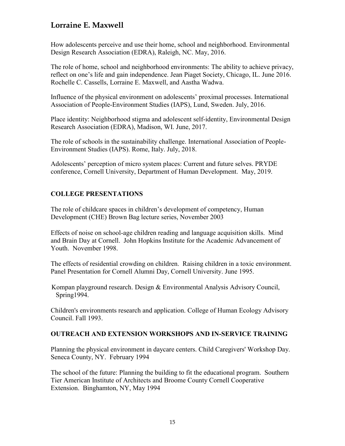How adolescents perceive and use their home, school and neighborhood. Environmental Design Research Association (EDRA), Raleigh, NC. May, 2016.

The role of home, school and neighborhood environments: The ability to achieve privacy, reflect on one's life and gain independence. Jean Piaget Society, Chicago, IL. June 2016. Rochelle C. Cassells, Lorraine E. Maxwell, and Aastha Wadwa.

Influence of the physical environment on adolescents' proximal processes. International Association of People-Environment Studies (IAPS), Lund, Sweden. July, 2016.

Place identity: Neighborhood stigma and adolescent self-identity, Environmental Design Research Association (EDRA), Madison, WI. June, 2017.

The role of schools in the sustainability challenge. International Association of People-Environment Studies (IAPS). Rome, Italy. July, 2018.

Adolescents' perception of micro system places: Current and future selves. PRYDE conference, Cornell University, Department of Human Development. May, 2019.

### **COLLEGE PRESENTATIONS**

The role of childcare spaces in children's development of competency, Human Development (CHE) Brown Bag lecture series, November 2003

Effects of noise on school-age children reading and language acquisition skills. Mind and Brain Day at Cornell. John Hopkins Institute for the Academic Advancement of Youth. November 1998.

The effects of residential crowding on children. Raising children in a toxic environment. Panel Presentation for Cornell Alumni Day, Cornell University. June 1995.

 Kompan playground research. Design & Environmental Analysis Advisory Council, Spring1994.

Children's environments research and application. College of Human Ecology Advisory Council. Fall 1993.

### **OUTREACH AND EXTENSION WORKSHOPS AND IN-SERVICE TRAINING**

Planning the physical environment in daycare centers. Child Caregivers' Workshop Day. Seneca County, NY. February 1994

The school of the future: Planning the building to fit the educational program. Southern Tier American Institute of Architects and Broome County Cornell Cooperative Extension. Binghamton, NY, May 1994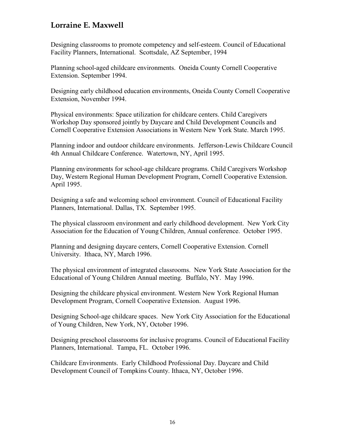Designing classrooms to promote competency and self-esteem. Council of Educational Facility Planners, International. Scottsdale, AZ September, 1994

Planning school-aged childcare environments. Oneida County Cornell Cooperative Extension. September 1994.

Designing early childhood education environments, Oneida County Cornell Cooperative Extension, November 1994.

Physical environments: Space utilization for childcare centers. Child Caregivers Workshop Day sponsored jointly by Daycare and Child Development Councils and Cornell Cooperative Extension Associations in Western New York State. March 1995.

Planning indoor and outdoor childcare environments. Jefferson-Lewis Childcare Council 4th Annual Childcare Conference. Watertown, NY, April 1995.

Planning environments for school-age childcare programs. Child Caregivers Workshop Day, Western Regional Human Development Program, Cornell Cooperative Extension. April 1995.

Designing a safe and welcoming school environment. Council of Educational Facility Planners, International. Dallas, TX. September 1995.

The physical classroom environment and early childhood development. New York City Association for the Education of Young Children, Annual conference. October 1995.

Planning and designing daycare centers, Cornell Cooperative Extension. Cornell University. Ithaca, NY, March 1996.

The physical environment of integrated classrooms. New York State Association for the Educational of Young Children Annual meeting. Buffalo, NY. May 1996.

Designing the childcare physical environment. Western New York Regional Human Development Program, Cornell Cooperative Extension. August 1996.

Designing School-age childcare spaces. New York City Association for the Educational of Young Children, New York, NY, October 1996.

Designing preschool classrooms for inclusive programs. Council of Educational Facility Planners, International. Tampa, FL. October 1996.

Childcare Environments. Early Childhood Professional Day. Daycare and Child Development Council of Tompkins County. Ithaca, NY, October 1996.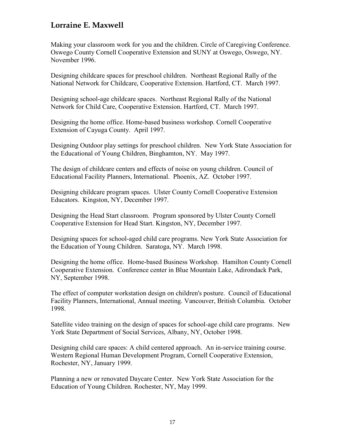Making your classroom work for you and the children. Circle of Caregiving Conference. Oswego County Cornell Cooperative Extension and SUNY at Oswego, Oswego, NY. November 1996.

Designing childcare spaces for preschool children. Northeast Regional Rally of the National Network for Childcare, Cooperative Extension. Hartford, CT. March 1997.

Designing school-age childcare spaces. Northeast Regional Rally of the National Network for Child Care, Cooperative Extension. Hartford, CT. March 1997.

Designing the home office. Home-based business workshop. Cornell Cooperative Extension of Cayuga County. April 1997.

Designing Outdoor play settings for preschool children. New York State Association for the Educational of Young Children, Binghamton, NY. May 1997.

The design of childcare centers and effects of noise on young children. Council of Educational Facility Planners, International. Phoenix, AZ. October 1997.

Designing childcare program spaces. Ulster County Cornell Cooperative Extension Educators. Kingston, NY, December 1997.

Designing the Head Start classroom. Program sponsored by Ulster County Cornell Cooperative Extension for Head Start. Kingston, NY, December 1997.

Designing spaces for school-aged child care programs. New York State Association for the Education of Young Children. Saratoga, NY. March 1998.

Designing the home office. Home-based Business Workshop. Hamilton County Cornell Cooperative Extension. Conference center in Blue Mountain Lake, Adirondack Park, NY, September 1998.

The effect of computer workstation design on children's posture. Council of Educational Facility Planners, International, Annual meeting. Vancouver, British Columbia. October 1998.

Satellite video training on the design of spaces for school-age child care programs. New York State Department of Social Services, Albany, NY, October 1998.

Designing child care spaces: A child centered approach. An in-service training course. Western Regional Human Development Program, Cornell Cooperative Extension, Rochester, NY, January 1999.

Planning a new or renovated Daycare Center. New York State Association for the Education of Young Children. Rochester, NY, May 1999.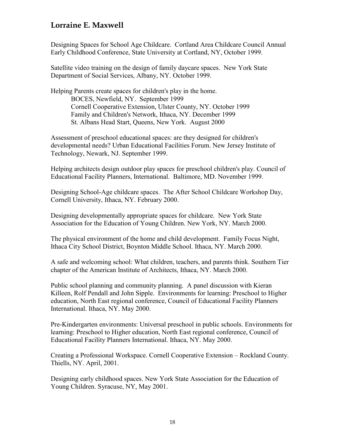Designing Spaces for School Age Childcare. Cortland Area Childcare Council Annual Early Childhood Conference, State University at Cortland, NY, October 1999.

Satellite video training on the design of family daycare spaces. New York State Department of Social Services, Albany, NY. October 1999.

Helping Parents create spaces for children's play in the home. BOCES, Newfield, NY. September 1999 Cornell Cooperative Extension, Ulster County, NY. October 1999 Family and Children's Network, Ithaca, NY. December 1999 St. Albans Head Start, Queens, New York. August 2000

Assessment of preschool educational spaces: are they designed for children's developmental needs? Urban Educational Facilities Forum. New Jersey Institute of Technology, Newark, NJ. September 1999.

Helping architects design outdoor play spaces for preschool children's play. Council of Educational Facility Planners, International. Baltimore, MD. November 1999.

Designing School-Age childcare spaces. The After School Childcare Workshop Day, Cornell University, Ithaca, NY. February 2000.

Designing developmentally appropriate spaces for childcare. New York State Association for the Education of Young Children. New York, NY. March 2000.

The physical environment of the home and child development. Family Focus Night, Ithaca City School District, Boynton Middle School. Ithaca, NY. March 2000.

A safe and welcoming school: What children, teachers, and parents think. Southern Tier chapter of the American Institute of Architects, Ithaca, NY. March 2000.

Public school planning and community planning. A panel discussion with Kieran Killeen, Rolf Pendall and John Sipple. Environments for learning: Preschool to Higher education, North East regional conference, Council of Educational Facility Planners International. Ithaca, NY. May 2000.

Pre-Kindergarten environments: Universal preschool in public schools. Environments for learning: Preschool to Higher education, North East regional conference, Council of Educational Facility Planners International. Ithaca, NY. May 2000.

Creating a Professional Workspace. Cornell Cooperative Extension – Rockland County. Thiells, NY. April, 2001.

Designing early childhood spaces. New York State Association for the Education of Young Children. Syracuse, NY, May 2001.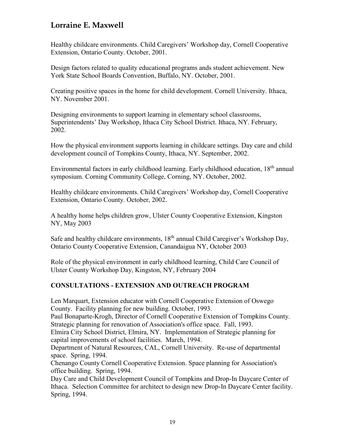Healthy childcare environments. Child Caregivers' Workshop day, Cornell Cooperative Extension, Ontario County. October, 2001.

Design factors related to quality educational programs ands student achievement. New York State School Boards Convention, Buffalo, NY. October, 2001.

Creating positive spaces in the home for child development. Cornell University. Ithaca, NY. November 2001.

Designing environments to support learning in elementary school classrooms, Superintendents' Day Workshop, Ithaca City School District. Ithaca, NY. February, 2002.

How the physical environment supports learning in childcare settings. Day care and child development council of Tompkins County, Ithaca, NY. September, 2002.

Environmental factors in early childhood learning. Early childhood education, 18<sup>th</sup> annual symposium. Corning Community College, Corning, NY. October, 2002.

Healthy childcare environments. Child Caregivers' Workshop day, Cornell Cooperative Extension, Ontario County. October, 2002.

A healthy home helps children grow, Ulster County Cooperative Extension, Kingston NY, May 2003

Safe and healthy childcare environments,  $18<sup>th</sup>$  annual Child Caregiver's Workshop Day, Ontario County Cooperative Extension, Canandaigua NY, October 2003

Role of the physical environment in early childhood learning, Child Care Council of Ulster County Workshop Day, Kingston, NY, February 2004

### **CONSULTATIONS - EXTENSION AND OUTREACH PROGRAM**

Len Marquart, Extension educator with Cornell Cooperative Extension of Oswego County. Facility planning for new building. October, 1993.

Paul Bonaparte-Krogh, Director of Cornell Cooperative Extension of Tompkins County. Strategic planning for renovation of Association's office space. Fall, 1993.

Elmira City School District, Elmira, NY. Implementation of Strategic planning for capital improvements of school facilities. March, 1994.

Department of Natural Resources, CAL, Cornell University. Re-use of departmental space. Spring, 1994.

Chenango County Cornell Cooperative Extension. Space planning for Association's office building. Spring, 1994.

Day Care and Child Development Council of Tompkins and Drop-In Daycare Center of Ithaca. Selection Committee for architect to design new Drop-In Daycare Center facility. Spring, 1994.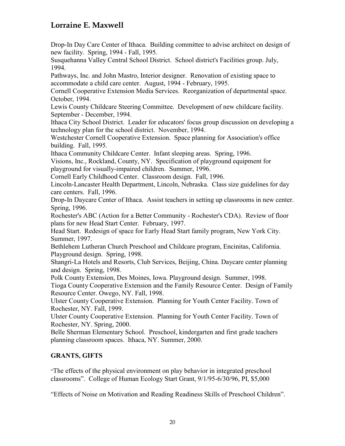Drop-In Day Care Center of Ithaca. Building committee to advise architect on design of new facility. Spring, 1994 - Fall, 1995.

Susquehanna Valley Central School District. School district's Facilities group. July, 1994.

Pathways, Inc. and John Mastro, Interior designer. Renovation of existing space to accommodate a child care center. August, 1994 - February, 1995.

Cornell Cooperative Extension Media Services. Reorganization of departmental space. October, 1994.

Lewis County Childcare Steering Committee. Development of new childcare facility. September - December, 1994.

Ithaca City School District. Leader for educators' focus group discussion on developing a technology plan for the school district. November, 1994.

Westchester Cornell Cooperative Extension. Space planning for Association's office building. Fall, 1995.

Ithaca Community Childcare Center. Infant sleeping areas. Spring, 1996.

Visions, Inc., Rockland, County, NY. Specification of playground equipment for playground for visually-impaired children. Summer, 1996.

Cornell Early Childhood Center. Classroom design. Fall, 1996.

Lincoln-Lancaster Health Department, Lincoln, Nebraska. Class size guidelines for day care centers. Fall, 1996.

Drop-In Daycare Center of Ithaca. Assist teachers in setting up classrooms in new center. Spring, 1996.

Rochester's ABC (Action for a Better Community - Rochester's CDA). Review of floor plans for new Head Start Center. February, 1997.

Head Start. Redesign of space for Early Head Start family program, New York City. Summer, 1997.

Bethlehem Lutheran Church Preschool and Childcare program, Encinitas, California. Playground design. Spring, 1998.

Shangri-La Hotels and Resorts, Club Services, Beijing, China. Daycare center planning and design. Spring, 1998.

Polk County Extension, Des Moines, Iowa. Playground design. Summer, 1998. Tioga County Cooperative Extension and the Family Resource Center. Design of Family Resource Center. Owego, NY. Fall, 1998.

Ulster County Cooperative Extension. Planning for Youth Center Facility. Town of Rochester, NY. Fall, 1999.

Ulster County Cooperative Extension. Planning for Youth Center Facility. Town of Rochester, NY. Spring, 2000.

Belle Sherman Elementary School. Preschool, kindergarten and first grade teachers planning classroom spaces. Ithaca, NY. Summer, 2000.

### **GRANTS, GIFTS**

"The effects of the physical environment on play behavior in integrated preschool classrooms". College of Human Ecology Start Grant, 9/1/95-6/30/96, PI, \$5,000

"Effects of Noise on Motivation and Reading Readiness Skills of Preschool Children".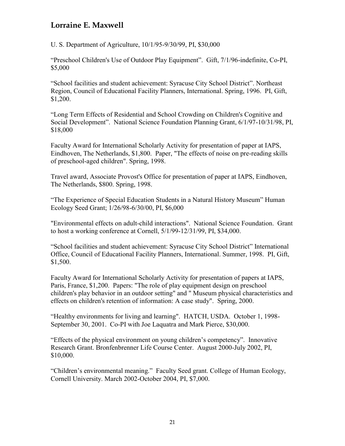U. S. Department of Agriculture, 10/1/95-9/30/99, PI, \$30,000

"Preschool Children's Use of Outdoor Play Equipment". Gift, 7/1/96-indefinite, Co-PI, \$5,000

"School facilities and student achievement: Syracuse City School District". Northeast Region, Council of Educational Facility Planners, International. Spring, 1996. PI, Gift, \$1,200.

"Long Term Effects of Residential and School Crowding on Children's Cognitive and Social Development". National Science Foundation Planning Grant, 6/1/97-10/31/98, PI, \$18,000

Faculty Award for International Scholarly Activity for presentation of paper at IAPS, Eindhoven, The Netherlands, \$1,800. Paper, "The effects of noise on pre-reading skills of preschool-aged children". Spring, 1998.

Travel award, Associate Provost's Office for presentation of paper at IAPS, Eindhoven, The Netherlands, \$800. Spring, 1998.

"The Experience of Special Education Students in a Natural History Museum" Human Ecology Seed Grant; 1/26/98-6/30/00, PI, \$6,000

"Environmental effects on adult-child interactions". National Science Foundation. Grant to host a working conference at Cornell, 5/1/99-12/31/99, PI, \$34,000.

"School facilities and student achievement: Syracuse City School District" International Office, Council of Educational Facility Planners, International. Summer, 1998. PI, Gift, \$1,500.

Faculty Award for International Scholarly Activity for presentation of papers at IAPS, Paris, France, \$1,200. Papers: "The role of play equipment design on preschool children's play behavior in an outdoor setting" and " Museum physical characteristics and effects on children's retention of information: A case study".Spring, 2000.

"Healthy environments for living and learning". HATCH, USDA. October 1, 1998- September 30, 2001. Co-PI with Joe Laquatra and Mark Pierce, \$30,000.

"Effects of the physical environment on young children's competency". Innovative Research Grant. Bronfenbrenner Life Course Center. August 2000-July 2002, PI, \$10,000.

"Children's environmental meaning." Faculty Seed grant. College of Human Ecology, Cornell University. March 2002-October 2004, PI, \$7,000.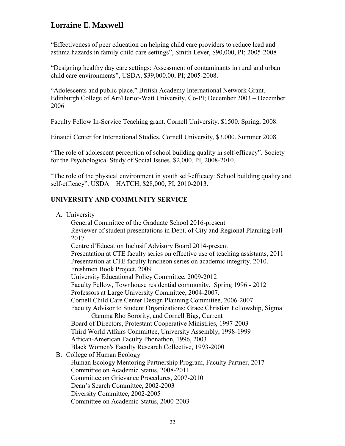"Effectiveness of peer education on helping child care providers to reduce lead and asthma hazards in family child care settings", Smith Lever, \$90,000, PI; 2005-2008

"Designing healthy day care settings: Assessment of contaminants in rural and urban child care environments", USDA, \$39,000.00, PI; 2005-2008.

"Adolescents and public place." British Academy International Network Grant, Edinburgh College of Art/Heriot-Watt University, Co-PI; December 2003 – December 2006

Faculty Fellow In-Service Teaching grant. Cornell University. \$1500. Spring, 2008.

Einaudi Center for International Studies, Cornell University, \$3,000. Summer 2008.

"The role of adolescent perception of school building quality in self-efficacy". Society for the Psychological Study of Social Issues, \$2,000. PI, 2008-2010.

"The role of the physical environment in youth self-efficacy: School building quality and self-efficacy". USDA – HATCH, \$28,000, PI, 2010-2013.

### **UNIVERSITY AND COMMUNITY SERVICE**

| A. University                                                                    |
|----------------------------------------------------------------------------------|
| General Committee of the Graduate School 2016-present                            |
| Reviewer of student presentations in Dept. of City and Regional Planning Fall    |
| 2017                                                                             |
| Centre d'Education Inclusif Advisory Board 2014-present                          |
| Presentation at CTE faculty series on effective use of teaching assistants, 2011 |
| Presentation at CTE faculty luncheon series on academic integrity, 2010.         |
| Freshmen Book Project, 2009                                                      |
| University Educational Policy Committee, 2009-2012                               |
| Faculty Fellow, Townhouse residential community. Spring 1996 - 2012              |
| Professors at Large University Committee, 2004-2007.                             |
| Cornell Child Care Center Design Planning Committee, 2006-2007.                  |
| Faculty Advisor to Student Organizations: Grace Christian Fellowship, Sigma      |
| Gamma Rho Sorority, and Cornell Bigs, Current                                    |
| Board of Directors, Protestant Cooperative Ministries, 1997-2003                 |
| Third World Affairs Committee, University Assembly, 1998-1999                    |
| African-American Faculty Phonathon, 1996, 2003                                   |
| Black Women's Faculty Research Collective, 1993-2000                             |
| B. College of Human Ecology                                                      |
| Human Ecology Mentoring Partnership Program, Faculty Partner, 2017               |
| Committee on Academic Status, 2008-2011                                          |
| Committee on Grievance Procedures, 2007-2010                                     |
| Dean's Search Committee, 2002-2003                                               |
| Diversity Committee, 2002-2005                                                   |
| Committee on Academic Status, 2000-2003                                          |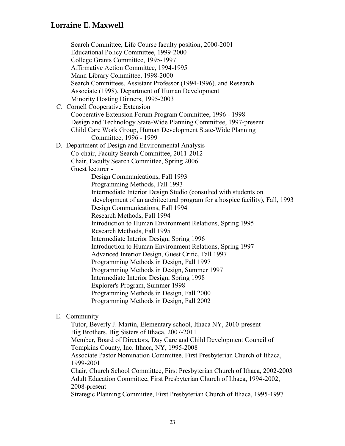Search Committee, Life Course faculty position, 2000-2001 Educational Policy Committee, 1999-2000 College Grants Committee, 1995-1997 Affirmative Action Committee, 1994-1995 Mann Library Committee, 1998-2000 Search Committees, Assistant Professor (1994-1996), and Research Associate (1998), Department of Human Development Minority Hosting Dinners, 1995-2003 C. Cornell Cooperative Extension Cooperative Extension Forum Program Committee, 1996 - 1998 Design and Technology State-Wide Planning Committee, 1997-present Child Care Work Group, Human Development State-Wide Planning Committee, 1996 - 1999 D. Department of Design and Environmental Analysis Co-chair, Faculty Search Committee, 2011-2012 Chair, Faculty Search Committee, Spring 2006 Guest lecturer - Design Communications, Fall 1993 Programming Methods, Fall 1993 Intermediate Interior Design Studio (consulted with students on development of an architectural program for a hospice facility), Fall, 1993 Design Communications, Fall 1994 Research Methods, Fall 1994 Introduction to Human Environment Relations, Spring 1995 Research Methods, Fall 1995 Intermediate Interior Design, Spring 1996 Introduction to Human Environment Relations, Spring 1997 Advanced Interior Design, Guest Critic, Fall 1997 Programming Methods in Design, Fall 1997 Programming Methods in Design, Summer 1997 Intermediate Interior Design, Spring 1998 Explorer's Program, Summer 1998 Programming Methods in Design, Fall 2000 Programming Methods in Design, Fall 2002

### E. Community

Tutor, Beverly J. Martin, Elementary school, Ithaca NY, 2010-present Big Brothers. Big Sisters of Ithaca, 2007-2011 Member, Board of Directors, Day Care and Child Development Council of Tompkins County, Inc. Ithaca, NY, 1995-2008 Associate Pastor Nomination Committee, First Presbyterian Church of Ithaca, 1999-2001 Chair, Church School Committee, First Presbyterian Church of Ithaca, 2002-2003 Adult Education Committee, First Presbyterian Church of Ithaca, 1994-2002, 2008-present Strategic Planning Committee, First Presbyterian Church of Ithaca, 1995-1997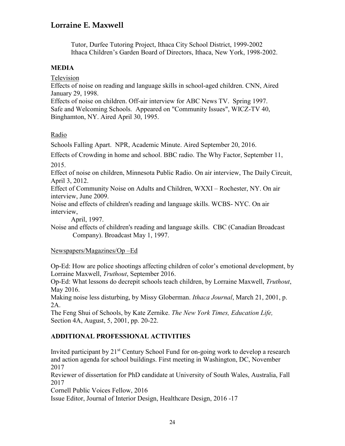Tutor, Durfee Tutoring Project, Ithaca City School District, 1999-2002 Ithaca Children's Garden Board of Directors, Ithaca, New York, 1998-2002.

#### **MEDIA**

Television

Effects of noise on reading and language skills in school-aged children. CNN, Aired January 29, 1998.

Effects of noise on children. Off-air interview for ABC News TV. Spring 1997. Safe and Welcoming Schools. Appeared on "Community Issues", WICZ-TV 40, Binghamton, NY. Aired April 30, 1995.

### Radio

Schools Falling Apart. NPR, Academic Minute. Aired September 20, 2016.

Effects of Crowding in home and school. BBC radio. The Why Factor, September 11, 2015.

Effect of noise on children, Minnesota Public Radio. On air interview, The Daily Circuit, April 3, 2012.

Effect of Community Noise on Adults and Children, WXXI – Rochester, NY. On air interview, June 2009.

Noise and effects of children's reading and language skills. WCBS- NYC. On air interview,

April, 1997.

Noise and effects of children's reading and language skills. CBC (Canadian Broadcast Company). Broadcast May 1, 1997.

### Newspapers/Magazines/Op –Ed

Op-Ed: How are police shootings affecting children of color's emotional development, by Lorraine Maxwell, *Truthout*, September 2016.

Op-Ed: What lessons do decrepit schools teach children, by Lorraine Maxwell, *Truthout*, May 2016.

Making noise less disturbing, by Missy Globerman. *Ithaca Journal*, March 21, 2001, p. 2A.

The Feng Shui of Schools, by Kate Zernike. *The New York Times, Education Life,*  Section 4A, August, 5, 2001, pp. 20-22.

### **ADDITIONAL PROFESSIONAL ACTIVITIES**

Invited participant by  $21^{st}$  Century School Fund for on-going work to develop a research and action agenda for school buildings. First meeting in Washington, DC, November 2017

Reviewer of dissertation for PhD candidate at University of South Wales, Australia, Fall 2017

Cornell Public Voices Fellow, 2016

Issue Editor, Journal of Interior Design, Healthcare Design, 2016 -17